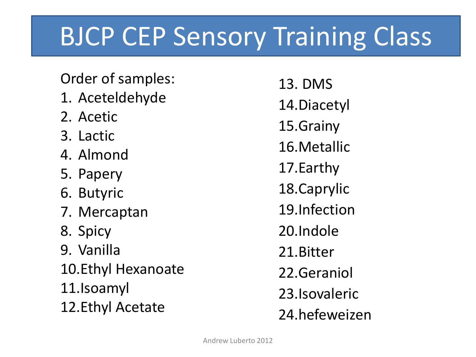### BJCP CEP Sensory Training Class

Order of samples:

- 1. Aceteldehyde
- 2. Acetic
- 3. Lactic
- 4. Almond
- 5. Papery
- 6. Butyric
- 7. Mercaptan
- 8. Spicy
- 9. Vanilla

10.Ethyl Hexanoate 11.Isoamyl

12.Ethyl Acetate

13. DMS 14.Diacetyl 15.Grainy 16.Metallic 17.Earthy 18.Caprylic 19.Infection 20.Indole 21.Bitter 22.Geraniol 23.Isovaleric 24.hefeweizen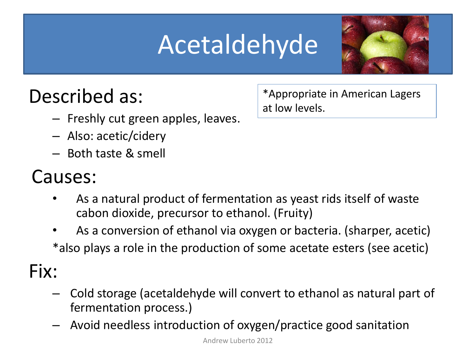# Acetaldehyde



#### Described as:

- Freshly cut green apples, leaves.
- Also: acetic/cidery
- Both taste & smell

#### Causes:

- As a natural product of fermentation as yeast rids itself of waste cabon dioxide, precursor to ethanol. (Fruity)
- As a conversion of ethanol via oxygen or bacteria. (sharper, acetic) \*also plays a role in the production of some acetate esters (see acetic)

Fix:

- Cold storage (acetaldehyde will convert to ethanol as natural part of fermentation process.)
- Avoid needless introduction of oxygen/practice good sanitation

\*Appropriate in American Lagers at low levels.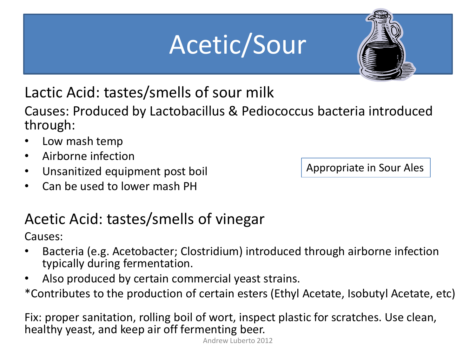# Acetic/Sour



Lactic Acid: tastes/smells of sour milk

Causes: Produced by Lactobacillus & Pediococcus bacteria introduced through:

- Low mash temp
- Airborne infection
- Unsanitized equipment post boil
- Can be used to lower mash PH

Appropriate in Sour Ales

#### Acetic Acid: tastes/smells of vinegar

Causes:

- Bacteria (e.g. Acetobacter; Clostridium) introduced through airborne infection typically during fermentation.
- Also produced by certain commercial yeast strains.

\*Contributes to the production of certain esters (Ethyl Acetate, Isobutyl Acetate, etc)

Fix: proper sanitation, rolling boil of wort, inspect plastic for scratches. Use clean, healthy yeast, and keep air off fermenting beer.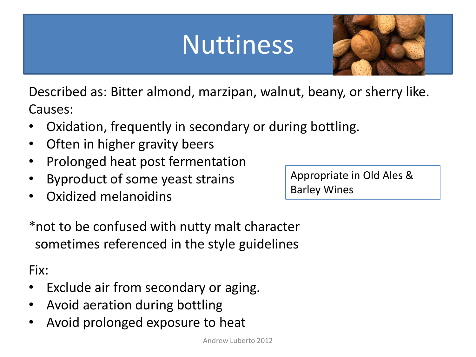### Nuttiness



Described as: Bitter almond, marzipan, walnut, beany, or sherry like. Causes:

- Oxidation, frequently in secondary or during bottling.
- Often in higher gravity beers
- Prolonged heat post fermentation
- Byproduct of some yeast strains
- Oxidized melanoidins

Appropriate in Old Ales & Barley Wines

\*not to be confused with nutty malt character sometimes referenced in the style guidelines

- Exclude air from secondary or aging.
- Avoid aeration during bottling
- Avoid prolonged exposure to heat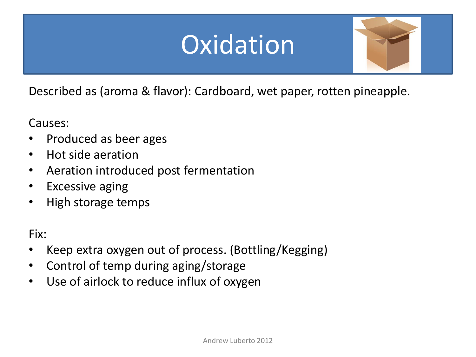### **Oxidation**



Described as (aroma & flavor): Cardboard, wet paper, rotten pineapple.

Causes:

- Produced as beer ages
- Hot side aeration
- Aeration introduced post fermentation
- Excessive aging
- High storage temps

- Keep extra oxygen out of process. (Bottling/Kegging)
- Control of temp during aging/storage
- Use of airlock to reduce influx of oxygen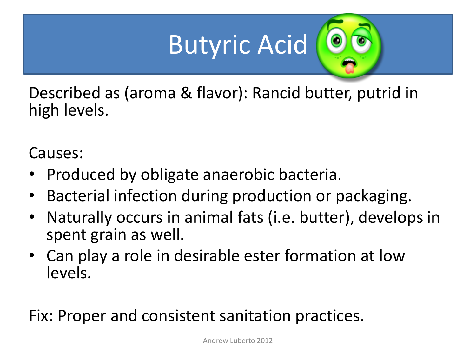# Butyric Acid

Described as (aroma & flavor): Rancid butter, putrid in high levels.

Causes:

- Produced by obligate anaerobic bacteria.
- Bacterial infection during production or packaging.
- Naturally occurs in animal fats (i.e. butter), develops in spent grain as well.
- Can play a role in desirable ester formation at low levels.

Fix: Proper and consistent sanitation practices.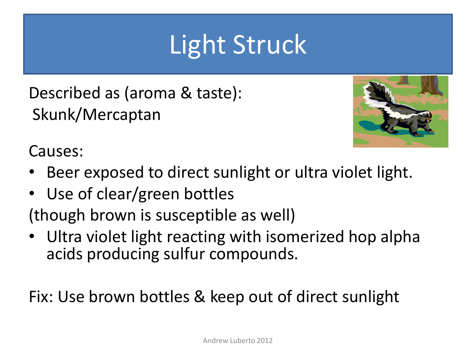### Light Struck

Described as (aroma & taste): Skunk/Mercaptan



Causes:

- Beer exposed to direct sunlight or ultra violet light.
- Use of clear/green bottles

(though brown is susceptible as well)

• Ultra violet light reacting with isomerized hop alpha acids producing sulfur compounds.

Fix: Use brown bottles & keep out of direct sunlight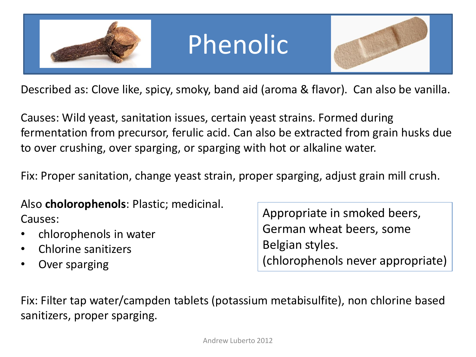

#### Phenolic



Described as: Clove like, spicy, smoky, band aid (aroma & flavor). Can also be vanilla.

Causes: Wild yeast, sanitation issues, certain yeast strains. Formed during fermentation from precursor, ferulic acid. Can also be extracted from grain husks due to over crushing, over sparging, or sparging with hot or alkaline water.

Fix: Proper sanitation, change yeast strain, proper sparging, adjust grain mill crush.

Also **cholorophenols**: Plastic; medicinal. Causes:

- chlorophenols in water
- Chlorine sanitizers
- Over sparging

Appropriate in smoked beers, German wheat beers, some Belgian styles. (chlorophenols never appropriate)

Fix: Filter tap water/campden tablets (potassium metabisulfite), non chlorine based sanitizers, proper sparging.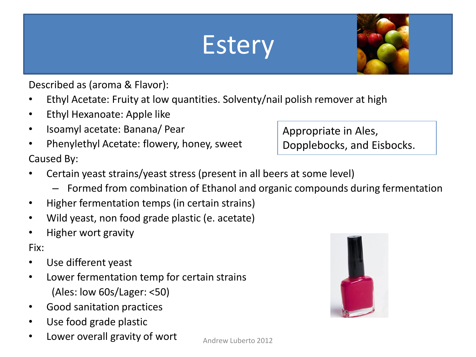#### **Estery**



- Ethyl Acetate: Fruity at low quantities. Solventy/nail polish remover at high
- Ethyl Hexanoate: Apple like
- Isoamyl acetate: Banana/ Pear
- Phenylethyl Acetate: flowery, honey, sweet Caused By:

#### Appropriate in Ales, Dopplebocks, and Eisbocks.

- Certain yeast strains/yeast stress (present in all beers at some level)
	- Formed from combination of Ethanol and organic compounds during fermentation
- Higher fermentation temps (in certain strains)
- Wild yeast, non food grade plastic (e. acetate)
- Higher wort gravity

- Use different yeast
- Lower fermentation temp for certain strains (Ales: low 60s/Lager: <50)
- Good sanitation practices
- Use food grade plastic
- Lower overall gravity of wort



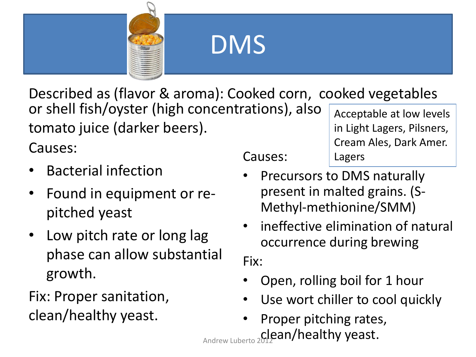

#### DMS

Described as (flavor & aroma): Cooked corn, cooked vegetables or shell fish/oyster (high concentrations), also tomato juice (darker beers). Acceptable at low levels

Causes:

- Bacterial infection
- Found in equipment or repitched yeast
- Low pitch rate or long lag phase can allow substantial growth.

Fix: Proper sanitation, clean/healthy yeast.

#### Causes:

in Light Lagers, Pilsners, Cream Ales, Dark Amer. Lagers

- Precursors to DMS naturally present in malted grains. (S-Methyl-methionine/SMM)
- ineffective elimination of natural occurrence during brewing

- Open, rolling boil for 1 hour
- Use wort chiller to cool quickly
- Proper pitching rates, Andrew Luberto 2012 an/healthy yeast.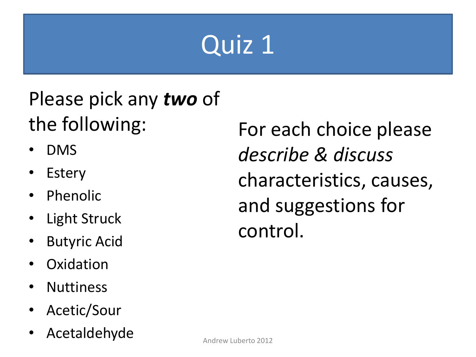# Quiz 1

#### Please pick any *two* of the following:

- DMS
- **Estery**
- **Phenolic**
- **Light Struck**
- Butyric Acid
- **Oxidation**
- **Nuttiness**
- Acetic/Sour
- Acetaldehyde

For each choice please *describe & discuss*  characteristics, causes, and suggestions for control.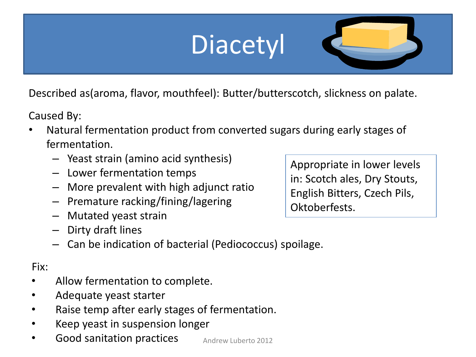# **Diacetyl**

Described as(aroma, flavor, mouthfeel): Butter/butterscotch, slickness on palate.

Caused By:

- Natural fermentation product from converted sugars during early stages of fermentation.
	- Yeast strain (amino acid synthesis)
	- Lower fermentation temps
	- More prevalent with high adjunct ratio
	- Premature racking/fining/lagering
	- Mutated yeast strain
	- Dirty draft lines
	- Can be indication of bacterial (Pediococcus) spoilage.

Fix:

- Allow fermentation to complete.
- Adequate yeast starter
- Raise temp after early stages of fermentation.
- Keep yeast in suspension longer
- Good sanitation practices Andrew Luberto 2012

Appropriate in lower levels in: Scotch ales, Dry Stouts, English Bitters, Czech Pils, Oktoberfests.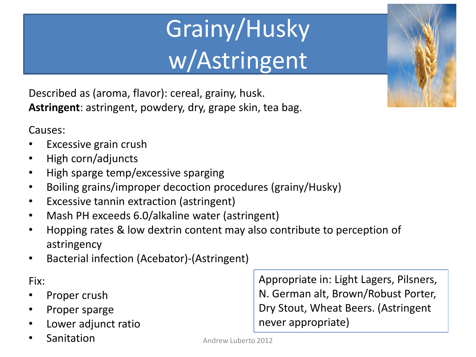# Grainy/Husky w/Astringent

Described as (aroma, flavor): cereal, grainy, husk. **Astringent**: astringent, powdery, dry, grape skin, tea bag.

Causes:

- Excessive grain crush
- High corn/adjuncts
- High sparge temp/excessive sparging
- Boiling grains/improper decoction procedures (grainy/Husky)
- Excessive tannin extraction (astringent)
- Mash PH exceeds 6.0/alkaline water (astringent)
- Hopping rates & low dextrin content may also contribute to perception of astringency
- Bacterial infection (Acebator)-(Astringent)

Fix:

- Proper crush
- Proper sparge
- Lower adjunct ratio
- **Sanitation**

Appropriate in: Light Lagers, Pilsners, N. German alt, Brown/Robust Porter, Dry Stout, Wheat Beers. (Astringent never appropriate)

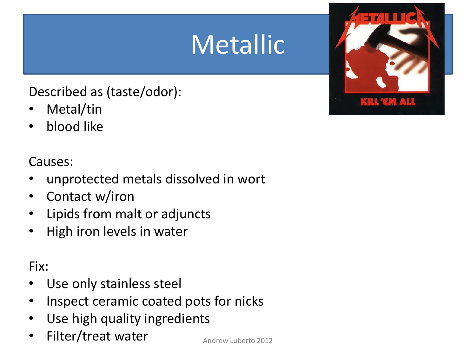### Metallic

#### Described as (taste/odor):

- Metal/tin
- blood like

#### Causes:

- unprotected metals dissolved in wort
- Contact w/iron
- Lipids from malt or adjuncts
- High iron levels in water

- Use only stainless steel
- Inspect ceramic coated pots for nicks
- Use high quality ingredients
- Filter/treat water  $\overline{A}_{\text{Andrew Luberto 2012}}$

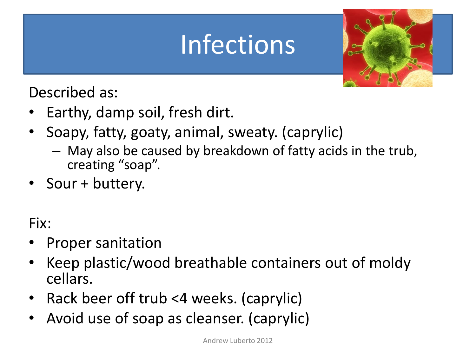### Infections



Described as:

- Earthy, damp soil, fresh dirt.
- Soapy, fatty, goaty, animal, sweaty. (caprylic)
	- May also be caused by breakdown of fatty acids in the trub, creating "soap".
- Sour + buttery.

- Proper sanitation
- Keep plastic/wood breathable containers out of moldy cellars.
- Rack beer off trub <4 weeks. (caprylic)
- Avoid use of soap as cleanser. (caprylic)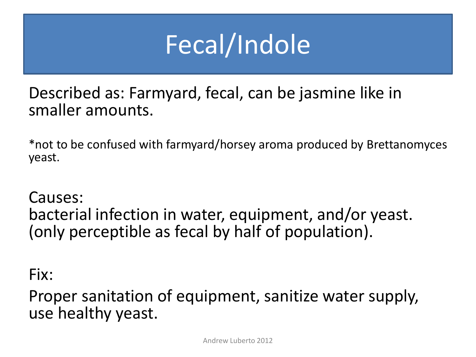### Fecal/Indole

Described as: Farmyard, fecal, can be jasmine like in smaller amounts.

\*not to be confused with farmyard/horsey aroma produced by Brettanomyces yeast.

#### Causes:

bacterial infection in water, equipment, and/or yeast. (only perceptible as fecal by half of population).

#### Fix:

Proper sanitation of equipment, sanitize water supply, use healthy yeast.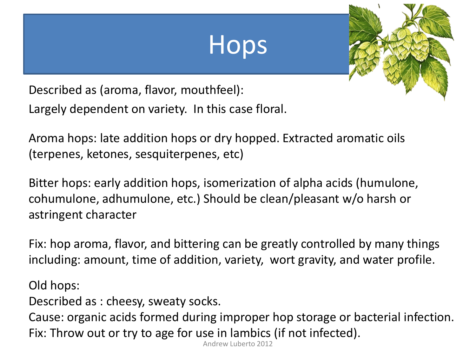#### Hops



Described as (aroma, flavor, mouthfeel): Largely dependent on variety. In this case floral.

Aroma hops: late addition hops or dry hopped. Extracted aromatic oils (terpenes, ketones, sesquiterpenes, etc)

Bitter hops: early addition hops, isomerization of alpha acids (humulone, cohumulone, adhumulone, etc.) Should be clean/pleasant w/o harsh or astringent character

Fix: hop aroma, flavor, and bittering can be greatly controlled by many things including: amount, time of addition, variety, wort gravity, and water profile.

Old hops:

Described as : cheesy, sweaty socks.

Cause: organic acids formed during improper hop storage or bacterial infection. Fix: Throw out or try to age for use in lambics (if not infected).

Andrew Luberto 2012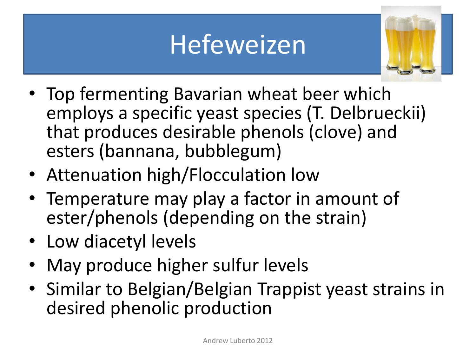#### Hefeweizen



- Top fermenting Bavarian wheat beer which employs a specific yeast species (T. Delbrueckii) that produces desirable phenols (clove) and esters (bannana, bubblegum)
- Attenuation high/Flocculation low
- Temperature may play a factor in amount of ester/phenols (depending on the strain)
- Low diacetyl levels
- May produce higher sulfur levels
- Similar to Belgian/Belgian Trappist yeast strains in desired phenolic production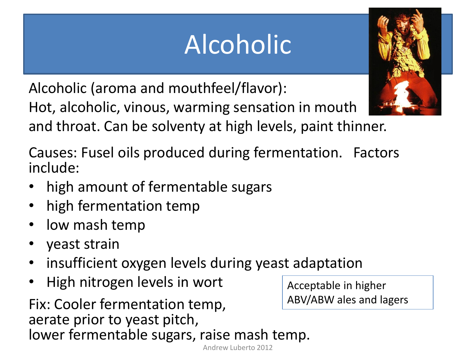# Alcoholic

Alcoholic (aroma and mouthfeel/flavor):

Hot, alcoholic, vinous, warming sensation in mouth and throat. Can be solventy at high levels, paint thinner.

Causes: Fusel oils produced during fermentation. Factors include:

- high amount of fermentable sugars
- high fermentation temp
- low mash temp
- yeast strain
- insufficient oxygen levels during yeast adaptation
- High nitrogen levels in wort

Fix: Cooler fermentation temp, aerate prior to yeast pitch, lower fermentable sugars, raise mash temp.

Acceptable in higher ABV/ABW ales and lagers



Andrew Luberto 2012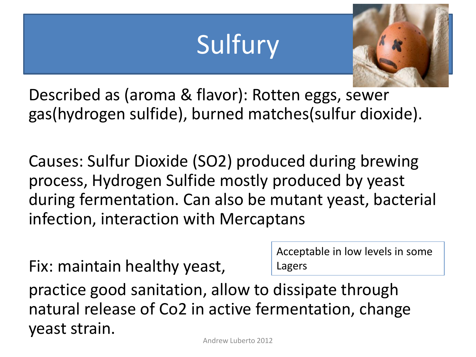### Sulfury



Described as (aroma & flavor): Rotten eggs, sewer gas(hydrogen sulfide), burned matches(sulfur dioxide).

Causes: Sulfur Dioxide (SO2) produced during brewing process, Hydrogen Sulfide mostly produced by yeast during fermentation. Can also be mutant yeast, bacterial infection, interaction with Mercaptans

Fix: maintain healthy yeast,

Acceptable in low levels in some Lagers

practice good sanitation, allow to dissipate through natural release of Co2 in active fermentation, change yeast strain.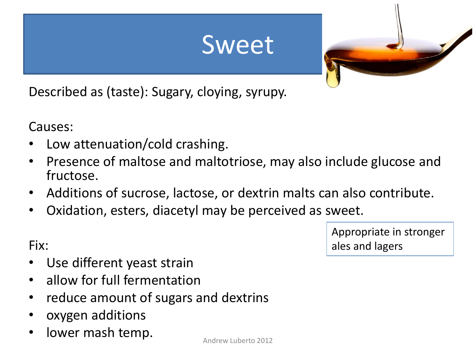#### Sweet



Described as (taste): Sugary, cloying, syrupy.

Causes:

Fix:

- Low attenuation/cold crashing.
- Presence of maltose and maltotriose, may also include glucose and fructose.
- Additions of sucrose, lactose, or dextrin malts can also contribute.
- Oxidation, esters, diacetyl may be perceived as sweet.

Appropriate in stronger ales and lagers

- Use different yeast strain
- allow for full fermentation
- reduce amount of sugars and dextrins
- oxygen additions
- lower mash temp.

Andrew Luberto 2012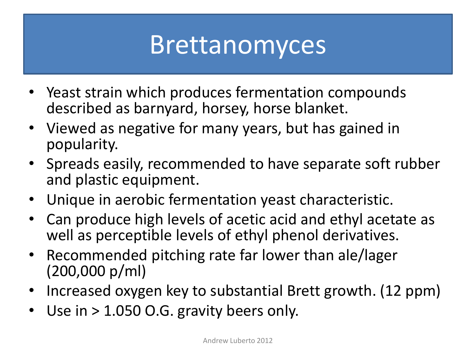#### Brettanomyces

- Yeast strain which produces fermentation compounds described as barnyard, horsey, horse blanket.
- Viewed as negative for many years, but has gained in popularity.
- Spreads easily, recommended to have separate soft rubber and plastic equipment.
- Unique in aerobic fermentation yeast characteristic.
- Can produce high levels of acetic acid and ethyl acetate as well as perceptible levels of ethyl phenol derivatives.
- Recommended pitching rate far lower than ale/lager (200,000 p/ml)
- Increased oxygen key to substantial Brett growth. (12 ppm)
- Use in  $> 1.050$  O.G. gravity beers only.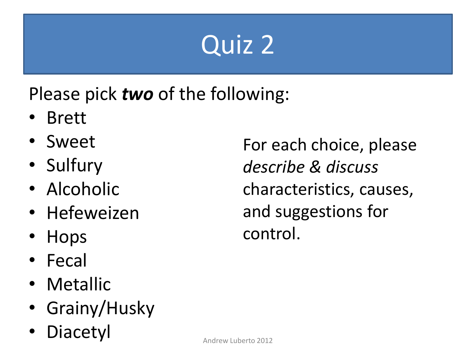# Quiz 2

Please pick *two* of the following:

- Brett
- Sweet
- Sulfury
- Alcoholic
- Hefeweizen
- Hops
- Fecal
- Metallic
- Grainy/Husky
- **Diacetyl**

For each choice, please *describe & discuss*  characteristics, causes, and suggestions for control.